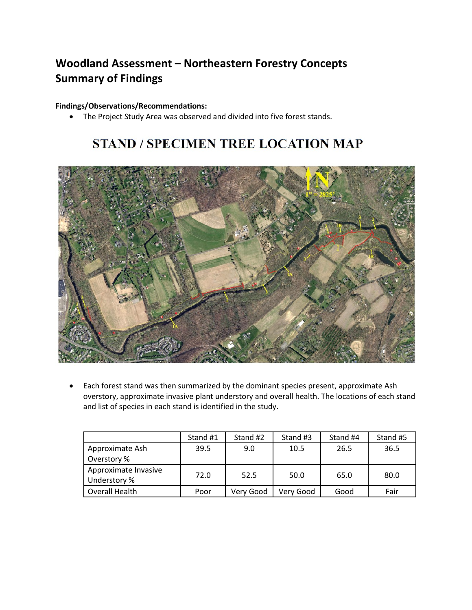## **Woodland Assessment – Northeastern Forestry Concepts Summary of Findings**

## **Findings/Observations/Recommendations:**

• The Project Study Area was observed and divided into five forest stands.

## **STAND / SPECIMEN TREE LOCATION MAP**



• Each forest stand was then summarized by the dominant species present, approximate Ash overstory, approximate invasive plant understory and overall health. The locations of each stand and list of species in each stand is identified in the study.

|                                      | Stand #1 | Stand #2  | Stand #3  | Stand #4 | Stand #5 |
|--------------------------------------|----------|-----------|-----------|----------|----------|
| Approximate Ash                      | 39.5     | 9.0       | 10.5      | 26.5     | 36.5     |
| Overstory %                          |          |           |           |          |          |
| Approximate Invasive<br>Understory % | 72.0     | 52.5      | 50.0      | 65.0     | 80.0     |
| Overall Health                       | Poor     | Verv Good | Verv Good | Good     | Fair     |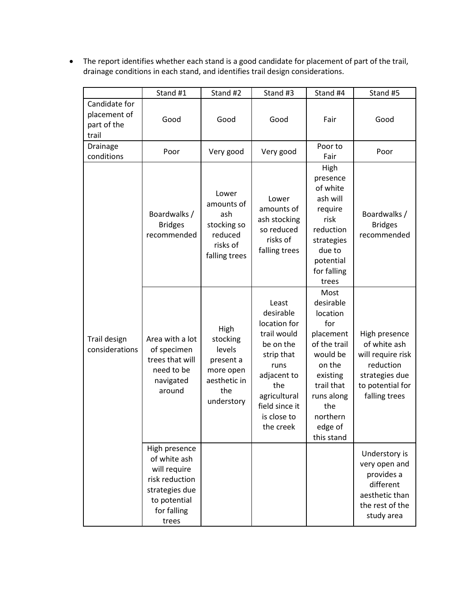• The report identifies whether each stand is a good candidate for placement of part of the trail, drainage conditions in each stand, and identifies trail design considerations.

|                                                       | Stand #1                                                                                                                  | Stand #2                                                                                  | Stand #3                                                                                                                                                                 | Stand #4                                                                                                                                                                    | Stand #5                                                                                                               |
|-------------------------------------------------------|---------------------------------------------------------------------------------------------------------------------------|-------------------------------------------------------------------------------------------|--------------------------------------------------------------------------------------------------------------------------------------------------------------------------|-----------------------------------------------------------------------------------------------------------------------------------------------------------------------------|------------------------------------------------------------------------------------------------------------------------|
| Candidate for<br>placement of<br>part of the<br>trail | Good                                                                                                                      | Good                                                                                      | Good                                                                                                                                                                     | Fair                                                                                                                                                                        | Good                                                                                                                   |
| Drainage<br>conditions                                | Poor                                                                                                                      | Very good                                                                                 | Very good                                                                                                                                                                | Poor to<br>Fair                                                                                                                                                             | Poor                                                                                                                   |
| Trail design<br>considerations                        | Boardwalks /<br><b>Bridges</b><br>recommended                                                                             | Lower<br>amounts of<br>ash<br>stocking so<br>reduced<br>risks of<br>falling trees         | Lower<br>amounts of<br>ash stocking<br>so reduced<br>risks of<br>falling trees                                                                                           | High<br>presence<br>of white<br>ash will<br>require<br>risk<br>reduction<br>strategies<br>due to<br>potential<br>for falling<br>trees                                       | Boardwalks /<br><b>Bridges</b><br>recommended                                                                          |
|                                                       | Area with a lot<br>of specimen<br>trees that will<br>need to be<br>navigated<br>around                                    | High<br>stocking<br>levels<br>present a<br>more open<br>aesthetic in<br>the<br>understory | Least<br>desirable<br>location for<br>trail would<br>be on the<br>strip that<br>runs<br>adjacent to<br>the<br>agricultural<br>field since it<br>is close to<br>the creek | Most<br>desirable<br>location<br>for<br>placement<br>of the trail<br>would be<br>on the<br>existing<br>trail that<br>runs along<br>the<br>northern<br>edge of<br>this stand | High presence<br>of white ash<br>will require risk<br>reduction<br>strategies due<br>to potential for<br>falling trees |
|                                                       | High presence<br>of white ash<br>will require<br>risk reduction<br>strategies due<br>to potential<br>for falling<br>trees |                                                                                           |                                                                                                                                                                          |                                                                                                                                                                             | Understory is<br>very open and<br>provides a<br>different<br>aesthetic than<br>the rest of the<br>study area           |